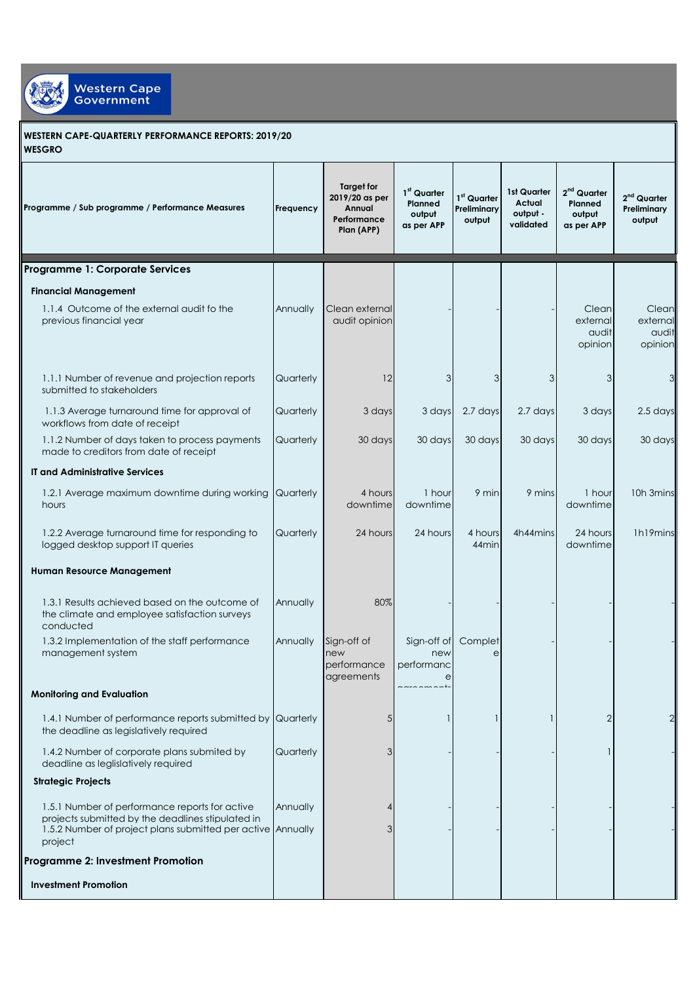

## **WESTERN CAPE-QUARTERLY PERFORMANCE REPORTS: 2019/20 WESGRO**

| Programme / Sub programme / Performance Measures                                                                                                                              | Frequency | Target for<br>2019/20 as per<br>Annual<br>Performance<br>Plan (APP) | 1 <sup>st</sup> Quarter<br>Planned<br>output<br>as per APP | 1st Quarter<br>Preliminary<br>output | 1st Quarter<br>Actual<br>output -<br>validated | $2nd$ Quarter<br>Planned<br>output<br>as per APP | $2nd$ Quarter<br>Preliminary<br>output |
|-------------------------------------------------------------------------------------------------------------------------------------------------------------------------------|-----------|---------------------------------------------------------------------|------------------------------------------------------------|--------------------------------------|------------------------------------------------|--------------------------------------------------|----------------------------------------|
| Programme 1: Corporate Services                                                                                                                                               |           |                                                                     |                                                            |                                      |                                                |                                                  |                                        |
| <b>Financial Management</b>                                                                                                                                                   |           |                                                                     |                                                            |                                      |                                                |                                                  |                                        |
| 1.1.4 Outcome of the external audit fo the<br>previous financial year                                                                                                         | Annually  | Clean external<br>audit opinion                                     |                                                            |                                      |                                                | Clean<br>external<br>audit<br>opinion            | Clean<br>external<br>audit<br>opinion  |
| 1.1.1 Number of revenue and projection reports<br>submitted to stakeholders                                                                                                   | Quarterly | 12                                                                  | 3                                                          | 3                                    | 3                                              | 3                                                |                                        |
| 1.1.3 Average turnaround time for approval of<br>workflows from date of receipt                                                                                               | Quarterly | 3 days                                                              | 3 days                                                     | 2.7 days                             | 2.7 days                                       | 3 days                                           | 2.5 days                               |
| 1.1.2 Number of days taken to process payments<br>made to creditors from date of receipt                                                                                      | Quarterly | 30 days                                                             | 30 days                                                    | 30 days                              | 30 days                                        | 30 days                                          | 30 days                                |
| <b>IT and Administrative Services</b>                                                                                                                                         |           |                                                                     |                                                            |                                      |                                                |                                                  |                                        |
| 1.2.1 Average maximum downtime during working<br>hours                                                                                                                        | Quarterly | 4 hours<br>downtime                                                 | 1 hour<br>downtime                                         | 9 min                                | 9 mins                                         | 1 hour<br>downtime                               | 10h 3mins                              |
| 1.2.2 Average turnaround time for responding to<br>logged desktop support IT queries                                                                                          | Quarterly | 24 hours                                                            | 24 hours                                                   | 4 hours<br>44 <sub>min</sub>         | 4h44mins                                       | 24 hours<br>downtime                             | 1h19mins                               |
| Human Resource Management                                                                                                                                                     |           |                                                                     |                                                            |                                      |                                                |                                                  |                                        |
| 1.3.1 Results achieved based on the outcome of<br>the climate and employee satisfaction surveys<br>conducted                                                                  | Annually  | 80%                                                                 |                                                            |                                      |                                                |                                                  |                                        |
| 1.3.2 Implementation of the staff performance<br>management system                                                                                                            | Annually  | Sign-off of<br>new<br>performance<br>agreements                     | Sign-off of<br>new<br>performanc<br>e                      | Complet<br>e                         |                                                |                                                  |                                        |
| <b>Monitoring and Evaluation</b>                                                                                                                                              |           |                                                                     |                                                            |                                      |                                                |                                                  |                                        |
| 1.4.1 Number of performance reports submitted by Quarterly<br>the deadline as legislatively required                                                                          |           | 5                                                                   |                                                            |                                      |                                                | $\overline{2}$                                   |                                        |
| 1.4.2 Number of corporate plans submited by<br>deadline as leglislatively required                                                                                            | Quarterly | 3                                                                   |                                                            |                                      |                                                |                                                  |                                        |
| <b>Strategic Projects</b>                                                                                                                                                     |           |                                                                     |                                                            |                                      |                                                |                                                  |                                        |
| 1.5.1 Number of performance reports for active<br>projects submitted by the deadlines stipulated in<br>1.5.2 Number of project plans submitted per active Annually<br>project | Annually  | 4<br>3                                                              |                                                            |                                      |                                                |                                                  |                                        |
| Programme 2: Investment Promotion                                                                                                                                             |           |                                                                     |                                                            |                                      |                                                |                                                  |                                        |
| <b>Investment Promotion</b>                                                                                                                                                   |           |                                                                     |                                                            |                                      |                                                |                                                  |                                        |